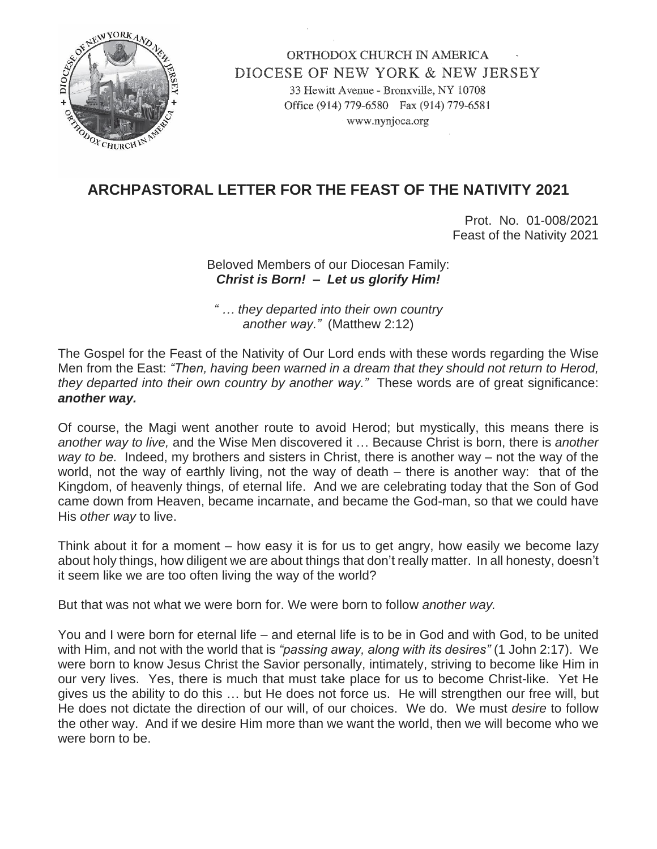

ORTHODOX CHURCH IN AMERICA DIOCESE OF NEW YORK & NEW JERSEY 33 Hewitt Avenue - Bronxville, NY 10708 Office (914) 779-6580 Fax (914) 779-6581 www.nynjoca.org

## **ARCHPASTORAL LETTER FOR THE FEAST OF THE NATIVITY 2021**

Prot. No. 01-008/2021 Feast of the Nativity 2021

Beloved Members of our Diocesan Family: *Christ is Born! – Let us glorify Him!*

*" … they departed into their own country another way."* (Matthew 2:12)

The Gospel for the Feast of the Nativity of Our Lord ends with these words regarding the Wise Men from the East: *"Then, having been warned in a dream that they should not return to Herod, they departed into their own country by another way."* These words are of great significance: *another way.*

Of course, the Magi went another route to avoid Herod; but mystically, this means there is *another way to live,* and the Wise Men discovered it … Because Christ is born, there is *another way to be.* Indeed, my brothers and sisters in Christ, there is another way – not the way of the world, not the way of earthly living, not the way of death – there is another way:that of the Kingdom, of heavenly things, of eternal life. And we are celebrating today that the Son of God came down from Heaven, became incarnate, and became the God-man, so that we could have His *other way* to live.

Think about it for a moment – how easy it is for us to get angry, how easily we become lazy about holy things, how diligent we are about things that don't really matter. In all honesty, doesn't it seem like we are too often living the way of the world?

But that was not what we were born for. We were born to follow *another way.*

You and I were born for eternal life – and eternal life is to be in God and with God, to be united with Him, and not with the world that is *"passing away, along with its desires"* (1 John 2:17). We were born to know Jesus Christ the Savior personally, intimately, striving to become like Him in our very lives. Yes, there is much that must take place for us to become Christ-like. Yet He gives us the ability to do this … but He does not force us. He will strengthen our free will, but He does not dictate the direction of our will, of our choices. We do. We must *desire* to follow the other way. And if we desire Him more than we want the world, then we will become who we were born to be.